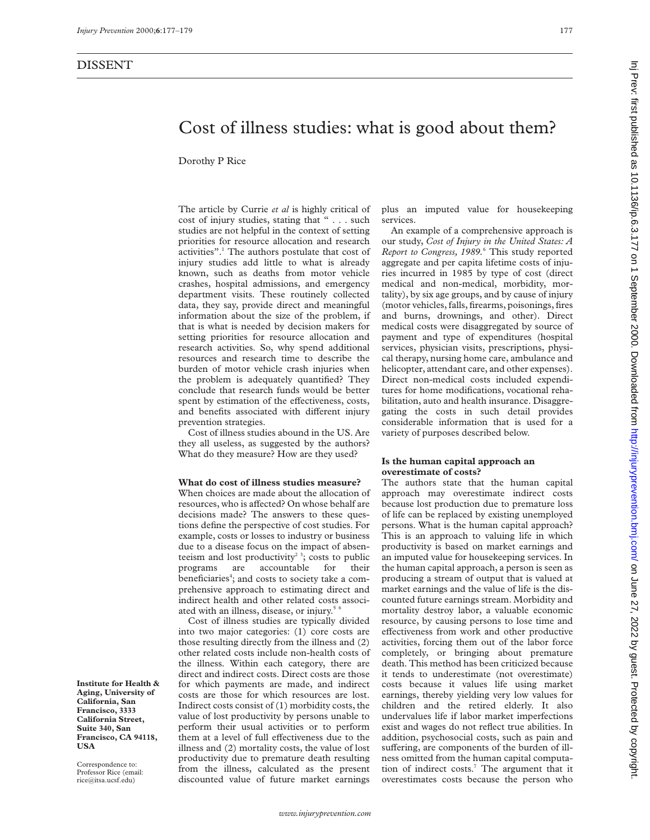# Cost of illness studies: what is good about them?

Dorothy P Rice

The article by Currie *et al* is highly critical of cost of injury studies, stating that " . . . such studies are not helpful in the context of setting priorities for resource allocation and research activities".1 The authors postulate that cost of injury studies add little to what is already known, such as deaths from motor vehicle crashes, hospital admissions, and emergency department visits. These routinely collected data, they say, provide direct and meaningful information about the size of the problem, if that is what is needed by decision makers for setting priorities for resource allocation and research activities. So, why spend additional resources and research time to describe the burden of motor vehicle crash injuries when the problem is adequately quantified? They conclude that research funds would be better spent by estimation of the effectiveness, costs, and benefits associated with different injury prevention strategies.

Cost of illness studies abound in the US. Are they all useless, as suggested by the authors? What do they measure? How are they used?

# **What do cost of illness studies measure?**

When choices are made about the allocation of resources, who is affected? On whose behalf are decisions made? The answers to these questions define the perspective of cost studies. For example, costs or losses to industry or business due to a disease focus on the impact of absenteeism and lost productivity<sup>23</sup>; costs to public programs are accountable for their beneficiaries<sup>4</sup>; and costs to society take a comprehensive approach to estimating direct and indirect health and other related costs associated with an illness, disease, or injury.<sup>5 6</sup>

Cost of illness studies are typically divided into two major categories: (1) core costs are those resulting directly from the illness and (2) other related costs include non-health costs of the illness. Within each category, there are direct and indirect costs. Direct costs are those for which payments are made, and indirect costs are those for which resources are lost. Indirect costs consist of (1) morbidity costs, the value of lost productivity by persons unable to perform their usual activities or to perform them at a level of full effectiveness due to the illness and (2) mortality costs, the value of lost productivity due to premature death resulting from the illness, calculated as the present discounted value of future market earnings

plus an imputed value for housekeeping services.

An example of a comprehensive approach is our study, *Cost of Injury in the United States: A Report to Congress, 1989.*<sup>6</sup> This study reported aggregate and per capita lifetime costs of injuries incurred in 1985 by type of cost (direct medical and non-medical, morbidity, mortality), by six age groups, and by cause of injury (motor vehicles, falls, firearms, poisonings, fires and burns, drownings, and other). Direct medical costs were disaggregated by source of payment and type of expenditures (hospital services, physician visits, prescriptions, physical therapy, nursing home care, ambulance and helicopter, attendant care, and other expenses). Direct non-medical costs included expenditures for home modifications, vocational rehabilitation, auto and health insurance. Disaggregating the costs in such detail provides considerable information that is used for a variety of purposes described below.

### **Is the human capital approach an overestimate of costs?**

The authors state that the human capital approach may overestimate indirect costs because lost production due to premature loss of life can be replaced by existing unemployed persons. What is the human capital approach? This is an approach to valuing life in which productivity is based on market earnings and an imputed value for housekeeping services. In the human capital approach, a person is seen as producing a stream of output that is valued at market earnings and the value of life is the discounted future earnings stream. Morbidity and mortality destroy labor, a valuable economic resource, by causing persons to lose time and effectiveness from work and other productive activities, forcing them out of the labor force completely, or bringing about premature death. This method has been criticized because it tends to underestimate (not overestimate) costs because it values life using market earnings, thereby yielding very low values for children and the retired elderly. It also undervalues life if labor market imperfections exist and wages do not reflect true abilities. In addition, psychosocial costs, such as pain and suffering, are components of the burden of illness omitted from the human capital computation of indirect costs.<sup>7</sup> The argument that it overestimates costs because the person who

**Institute for Health & Aging, University of California, San Francisco, 3333 California Street, Suite 340, San Francisco, CA 94118, USA**

Correspondence to: Professor Rice (email: rice@itsa.ucsf.edu)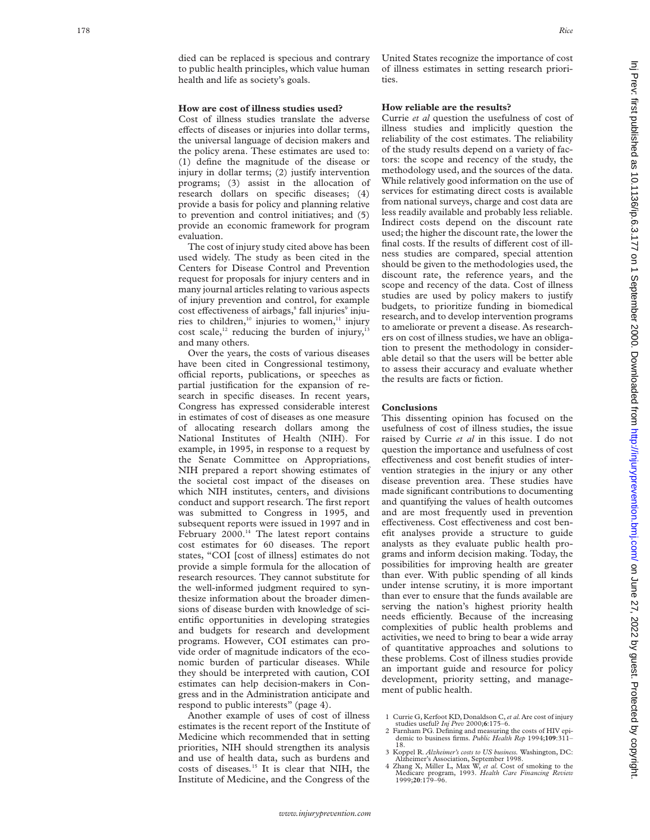died can be replaced is specious and contrary to public health principles, which value human health and life as society's goals.

#### **How are cost of illness studies used?**

Cost of illness studies translate the adverse effects of diseases or injuries into dollar terms, the universal language of decision makers and the policy arena. These estimates are used to: (1) define the magnitude of the disease or injury in dollar terms; (2) justify intervention programs; (3) assist in the allocation of research dollars on specific diseases; (4) provide a basis for policy and planning relative to prevention and control initiatives; and (5) provide an economic framework for program evaluation.

The cost of injury study cited above has been used widely. The study as been cited in the Centers for Disease Control and Prevention request for proposals for injury centers and in many journal articles relating to various aspects of injury prevention and control, for example cost effectiveness of airbags,<sup>8</sup> fall injuries<sup>9</sup> injuries to children,<sup>10</sup> injuries to women,<sup>11</sup> injury cost scale,<sup>12</sup> reducing the burden of injury,<sup>1</sup> and many others.

Over the years, the costs of various diseases have been cited in Congressional testimony, official reports, publications, or speeches as partial justification for the expansion of research in specific diseases. In recent years, Congress has expressed considerable interest in estimates of cost of diseases as one measure of allocating research dollars among the National Institutes of Health (NIH). For example, in 1995, in response to a request by the Senate Committee on Appropriations, NIH prepared a report showing estimates of the societal cost impact of the diseases on which NIH institutes, centers, and divisions conduct and support research. The first report was submitted to Congress in 1995, and subsequent reports were issued in 1997 and in February  $2000$ .<sup>14</sup> The latest report contains cost estimates for 60 diseases. The report states, "COI [cost of illness] estimates do not provide a simple formula for the allocation of research resources. They cannot substitute for the well-informed judgment required to synthesize information about the broader dimensions of disease burden with knowledge of scientific opportunities in developing strategies and budgets for research and development programs. However, COI estimates can provide order of magnitude indicators of the economic burden of particular diseases. While they should be interpreted with caution, COI estimates can help decision-makers in Congress and in the Administration anticipate and respond to public interests" (page 4).

Another example of uses of cost of illness estimates is the recent report of the Institute of Medicine which recommended that in setting priorities, NIH should strengthen its analysis and use of health data, such as burdens and costs of diseases *.* <sup>15</sup> It is clear that NIH, the Institute of Medicine, and the Congress of the

United States recognize the importance of cost of illness estimates in setting research priorities.

#### **How reliable are the results?**

Currie *et al* question the usefulness of cost of illness studies and implicitly question the reliability of the cost estimates. The reliability of the study results depend on a variety of factors: the scope and recency of the study, the methodology used, and the sources of the data. While relatively good information on the use of services for estimating direct costs is available from national surveys, charge and cost data are less readily available and probably less reliable. Indirect costs depend on the discount rate used; the higher the discount rate, the lower the final costs. If the results of different cost of illness studies are compared, special attention should be given to the methodologies used, the discount rate, the reference years, and the scope and recency of the data. Cost of illness studies are used by policy makers to justify budgets, to prioritize funding in biomedical research, and to develop intervention programs to ameliorate or prevent a disease. As researchers on cost of illness studies, we have an obligation to present the methodology in considerable detail so that the users will be better able to assess their accuracy and evaluate whether the results are facts or fiction.

### **Conclusions**

This dissenting opinion has focused on the usefulness of cost of illness studies, the issue raised by Currie *et al* in this issue. I do not question the importance and usefulness of cost effectiveness and cost benefit studies of intervention strategies in the injury or any other disease prevention area. These studies have made significant contributions to documenting and quantifying the values of health outcomes and are most frequently used in prevention effectiveness. Cost effectiveness and cost benefit analyses provide a structure to guide analysts as they evaluate public health programs and inform decision making. Today, the possibilities for improving health are greater than ever. With public spending of all kinds under intense scrutiny, it is more important than ever to ensure that the funds available are serving the nation's highest priority health needs efficiently. Because of the increasing complexities of public health problems and activities, we need to bring to bear a wide array of quantitative approaches and solutions to these problems. Cost of illness studies provide an important guide and resource for policy development, priority setting, and management of public health.

- 1 Currie G, Kerfoot KD, Donaldson C,*et al.*Are cost of injury
- studies useful? *Inj Prev* 2000; **6**:175–6. 2 Farnham PG. Defining and measuring the costs of HIV epidemic to business firms. *Public Health Rep* 1994;**109**:311– 18.
- 
- 3 Koppel R. Alzheimer's costs to US business. Washington, DC:<br>Alzheimer's Association, September 1998.<br>4 Zhang X, Miller L, Max W, et al. Cost of smoking to the<br>Medicare program, 1993. Health Care Financing Review<br>1999;20: